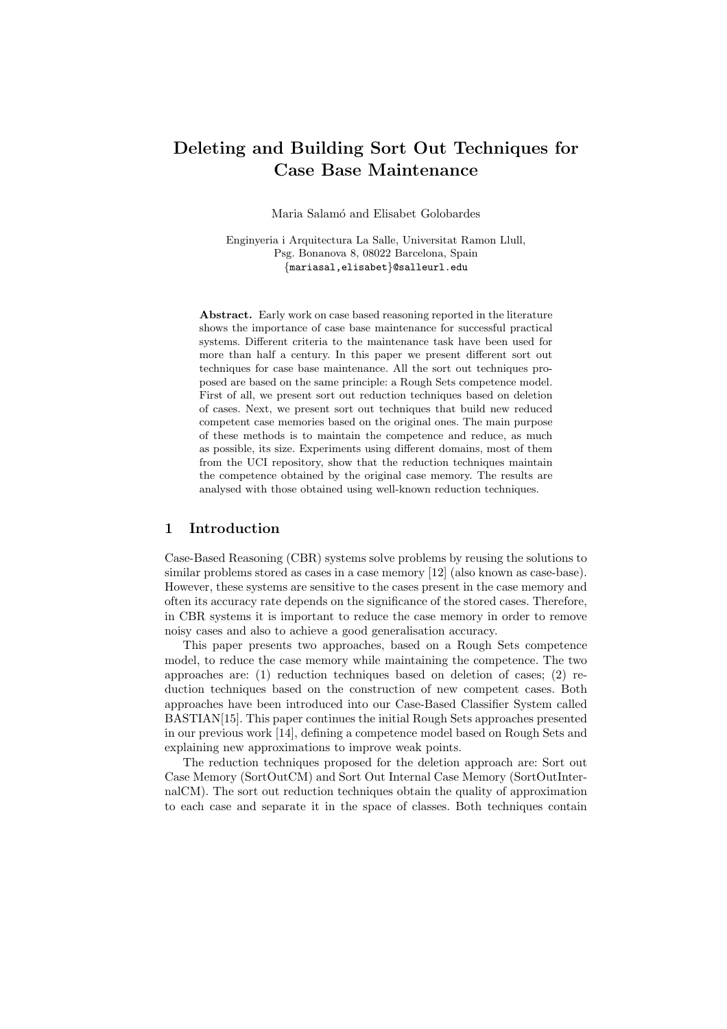# Deleting and Building Sort Out Techniques for Case Base Maintenance

Maria Salamó and Elisabet Golobardes

Enginyeria i Arquitectura La Salle, Universitat Ramon Llull, Psg. Bonanova 8, 08022 Barcelona, Spain {mariasal,elisabet}@salleurl.edu

Abstract. Early work on case based reasoning reported in the literature shows the importance of case base maintenance for successful practical systems. Different criteria to the maintenance task have been used for more than half a century. In this paper we present different sort out techniques for case base maintenance. All the sort out techniques proposed are based on the same principle: a Rough Sets competence model. First of all, we present sort out reduction techniques based on deletion of cases. Next, we present sort out techniques that build new reduced competent case memories based on the original ones. The main purpose of these methods is to maintain the competence and reduce, as much as possible, its size. Experiments using different domains, most of them from the UCI repository, show that the reduction techniques maintain the competence obtained by the original case memory. The results are analysed with those obtained using well-known reduction techniques.

# 1 Introduction

Case-Based Reasoning (CBR) systems solve problems by reusing the solutions to similar problems stored as cases in a case memory [12] (also known as case-base). However, these systems are sensitive to the cases present in the case memory and often its accuracy rate depends on the significance of the stored cases. Therefore, in CBR systems it is important to reduce the case memory in order to remove noisy cases and also to achieve a good generalisation accuracy.

This paper presents two approaches, based on a Rough Sets competence model, to reduce the case memory while maintaining the competence. The two approaches are: (1) reduction techniques based on deletion of cases; (2) reduction techniques based on the construction of new competent cases. Both approaches have been introduced into our Case-Based Classifier System called BASTIAN[15]. This paper continues the initial Rough Sets approaches presented in our previous work [14], defining a competence model based on Rough Sets and explaining new approximations to improve weak points.

The reduction techniques proposed for the deletion approach are: Sort out Case Memory (SortOutCM) and Sort Out Internal Case Memory (SortOutInternalCM). The sort out reduction techniques obtain the quality of approximation to each case and separate it in the space of classes. Both techniques contain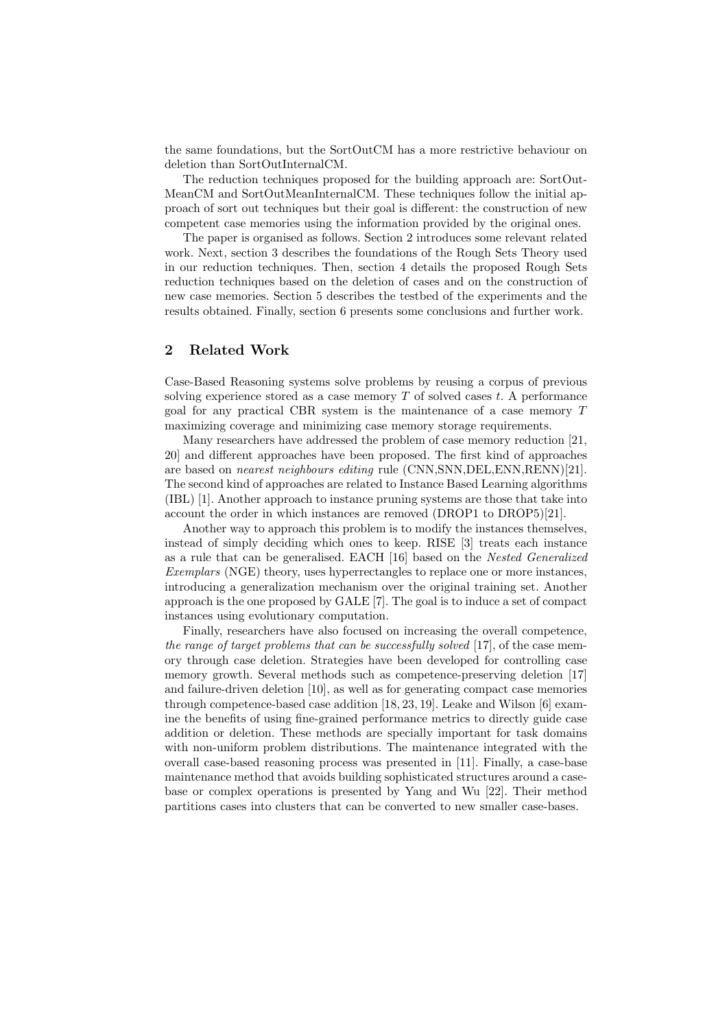the same foundations, but the SortOutCM has a more restrictive behaviour on deletion than SortOutInternalCM.

The reduction techniques proposed for the building approach are: SortOut-MeanCM and SortOutMeanInternalCM. These techniques follow the initial approach of sort out techniques but their goal is different: the construction of new competent case memories using the information provided by the original ones.

The paper is organised as follows. Section 2 introduces some relevant related work. Next, section 3 describes the foundations of the Rough Sets Theory used in our reduction techniques. Then, section 4 details the proposed Rough Sets reduction techniques based on the deletion of cases and on the construction of new case memories. Section 5 describes the testbed of the experiments and the results obtained. Finally, section 6 presents some conclusions and further work.

# 2 Related Work

Case-Based Reasoning systems solve problems by reusing a corpus of previous solving experience stored as a case memory  $T$  of solved cases  $t$ . A performance goal for any practical CBR system is the maintenance of a case memory T maximizing coverage and minimizing case memory storage requirements.

Many researchers have addressed the problem of case memory reduction [21, 20] and different approaches have been proposed. The first kind of approaches are based on nearest neighbours editing rule (CNN,SNN,DEL,ENN,RENN)[21]. The second kind of approaches are related to Instance Based Learning algorithms (IBL) [1]. Another approach to instance pruning systems are those that take into account the order in which instances are removed (DROP1 to DROP5)[21].

Another way to approach this problem is to modify the instances themselves, instead of simply deciding which ones to keep. RISE [3] treats each instance as a rule that can be generalised. EACH [16] based on the Nested Generalized Exemplars (NGE) theory, uses hyperrectangles to replace one or more instances, introducing a generalization mechanism over the original training set. Another approach is the one proposed by GALE [7]. The goal is to induce a set of compact instances using evolutionary computation.

Finally, researchers have also focused on increasing the overall competence, the range of target problems that can be successfully solved [17], of the case memory through case deletion. Strategies have been developed for controlling case memory growth. Several methods such as competence-preserving deletion [17] and failure-driven deletion [10], as well as for generating compact case memories through competence-based case addition [18, 23, 19]. Leake and Wilson [6] examine the benefits of using fine-grained performance metrics to directly guide case addition or deletion. These methods are specially important for task domains with non-uniform problem distributions. The maintenance integrated with the overall case-based reasoning process was presented in [11]. Finally, a case-base maintenance method that avoids building sophisticated structures around a casebase or complex operations is presented by Yang and Wu [22]. Their method partitions cases into clusters that can be converted to new smaller case-bases.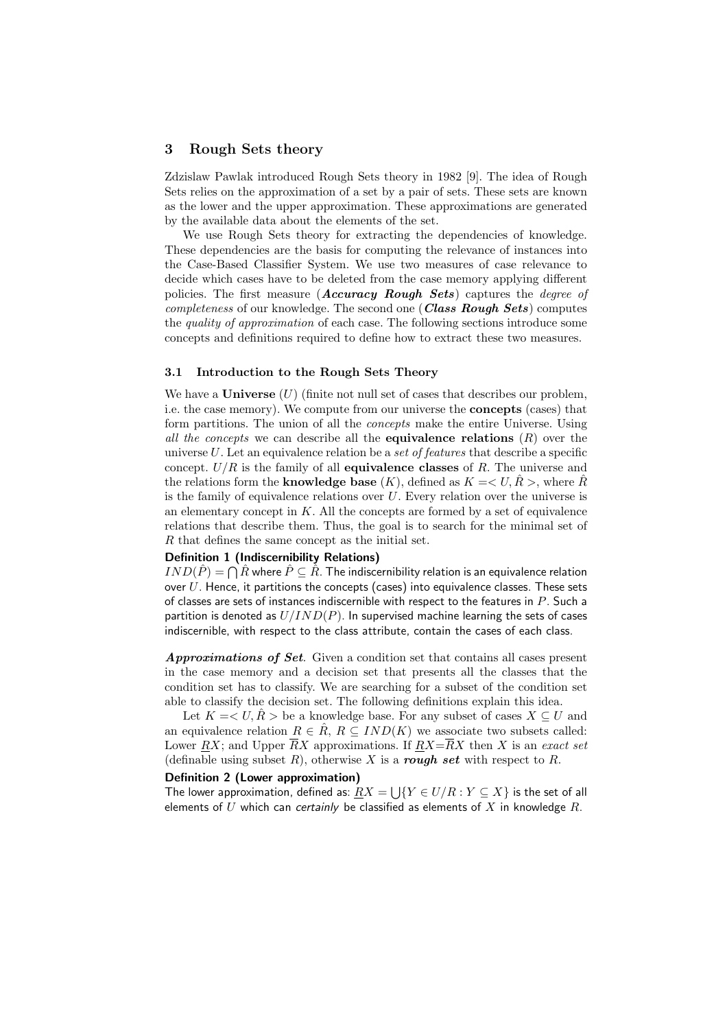## 3 Rough Sets theory

Zdzislaw Pawlak introduced Rough Sets theory in 1982 [9]. The idea of Rough Sets relies on the approximation of a set by a pair of sets. These sets are known as the lower and the upper approximation. These approximations are generated by the available data about the elements of the set.

We use Rough Sets theory for extracting the dependencies of knowledge. These dependencies are the basis for computing the relevance of instances into the Case-Based Classifier System. We use two measures of case relevance to decide which cases have to be deleted from the case memory applying different policies. The first measure (**Accuracy Rough Sets**) captures the *degree of* completeness of our knowledge. The second one (**Class Rough Sets**) computes the *quality of approximation* of each case. The following sections introduce some concepts and definitions required to define how to extract these two measures.

#### 3.1 Introduction to the Rough Sets Theory

We have a Universe  $(U)$  (finite not null set of cases that describes our problem, i.e. the case memory). We compute from our universe the concepts (cases) that form partitions. The union of all the concepts make the entire Universe. Using all the concepts we can describe all the **equivalence relations**  $(R)$  over the universe  $U$ . Let an equivalence relation be a set of features that describe a specific concept.  $U/R$  is the family of all **equivalence classes** of R. The universe and the relations form the **knowledge base**  $(K)$ , defined as  $K = \langle U, R \rangle$ , where R is the family of equivalence relations over  $U$ . Every relation over the universe is an elementary concept in  $K$ . All the concepts are formed by a set of equivalence relations that describe them. Thus, the goal is to search for the minimal set of R that defines the same concept as the initial set.

## Definition 1 (Indiscernibility Relations)

 $IND(\hat{P})=\bigcap \hat{R}$  where  $\hat{P}\subseteq \hat{R}$ . The indiscernibility relation is an equivalence relation over  $U$ . Hence, it partitions the concepts (cases) into equivalence classes. These sets of classes are sets of instances indiscernible with respect to the features in  $P$ . Such a partition is denoted as  $U/IND(P)$ . In supervised machine learning the sets of cases indiscernible, with respect to the class attribute, contain the cases of each class.

Approximations of Set. Given a condition set that contains all cases present in the case memory and a decision set that presents all the classes that the condition set has to classify. We are searching for a subset of the condition set able to classify the decision set. The following definitions explain this idea.

Let  $K = \langle U, \hat{R} \rangle$  be a knowledge base. For any subset of cases  $X \subseteq U$  and an equivalence relation  $R \in \hat{R}$ ,  $R \subseteq IND(K)$  we associate two subsets called: Lower RX; and Upper  $\overline{R}X$  approximations. If  $RX=\overline{R}X$  then X is an exact set (definable using subset R), otherwise X is a rough set with respect to R.

## Definition 2 (Lower approximation)

The lower approximation, defined as:  $\underline{R}X=\bigcup \{Y\in U/R: Y\subseteq X\}$  is the set of all elements of U which can certainly be classified as elements of  $X$  in knowledge  $R$ .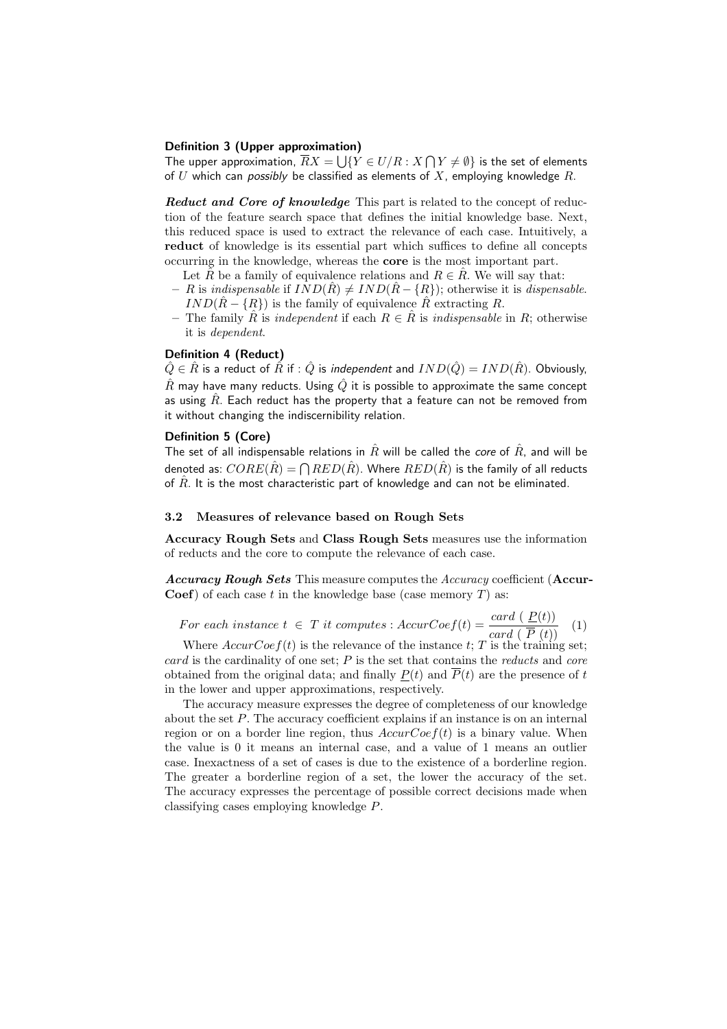#### Definition 3 (Upper approximation)

The upper approximation,  $RX = \bigcup \{Y \in U/R : X \bigcap Y \neq \emptyset\}$  is the set of elements of U which can possibly be classified as elements of X, employing knowledge  $R$ .

Reduct and Core of knowledge This part is related to the concept of reduction of the feature search space that defines the initial knowledge base. Next, this reduced space is used to extract the relevance of each case. Intuitively, a reduct of knowledge is its essential part which suffices to define all concepts occurring in the knowledge, whereas the core is the most important part.

- Let  $\hat{R}$  be a family of equivalence relations and  $R \in \hat{R}$ . We will say that:
- R is indispensable if  $IND(\hat{R}) \neq IND(\hat{R} \{R\})$ ; otherwise it is dispensable.  $IND(\hat{R} - \{R\})$  is the family of equivalence  $\hat{R}$  extracting  $R$ .
- The family  $\hat{R}$  is independent if each  $R \in \hat{R}$  is indispensable in R; otherwise it is dependent.

# Definition 4 (Reduct)

 $\hat{Q} \in \hat{R}$  is a reduct of  $\hat{R}$  if :  $\hat{Q}$  is independent and  $IND(\hat{Q}) = IND(\hat{R})$ . Obviously,  $\hat{R}$  may have many reducts. Using  $\hat{Q}$  it is possible to approximate the same concept as using  $\bar{R}$ . Each reduct has the property that a feature can not be removed from it without changing the indiscernibility relation.

# Definition 5 (Core)

The set of all indispensable relations in  $\hat{R}$  will be called the core of  $\hat{R}$ , and will be denoted as:  $CORE(\hat{R}) = \bigcap RED(\hat{R}).$  Where  $RED(\hat{R})$  is the family of all reducts of  $\hat{R}$ . It is the most characteristic part of knowledge and can not be eliminated.

#### 3.2 Measures of relevance based on Rough Sets

Accuracy Rough Sets and Class Rough Sets measures use the information of reducts and the core to compute the relevance of each case.

Accuracy Rough Sets This measure computes the Accuracy coefficient (Accur-**Coef**) of each case t in the knowledge base (case memory  $T$ ) as:

For each instance 
$$
t \in T
$$
 it computes:  $AccurCoef(t) = \frac{card (P(t))}{card (\overline{P}(t))}$  (1)

Where  $Accuracyof(t)$  is the relevance of the instance t; T is the training set;  $card$  is the cardinality of one set;  $P$  is the set that contains the *reducts* and *core* obtained from the original data; and finally  $P(t)$  and  $\overline{P}(t)$  are the presence of t in the lower and upper approximations, respectively.

The accuracy measure expresses the degree of completeness of our knowledge about the set  $P$ . The accuracy coefficient explains if an instance is on an internal region or on a border line region, thus  $AccurCoef(t)$  is a binary value. When the value is 0 it means an internal case, and a value of 1 means an outlier case. Inexactness of a set of cases is due to the existence of a borderline region. The greater a borderline region of a set, the lower the accuracy of the set. The accuracy expresses the percentage of possible correct decisions made when classifying cases employing knowledge P.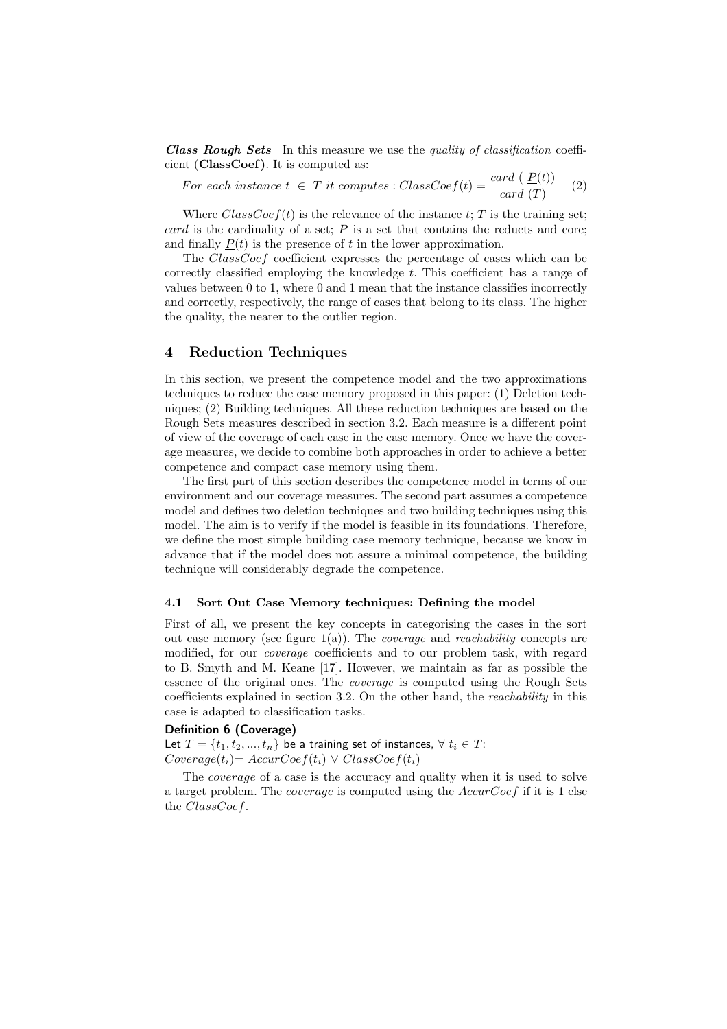Class Rough Sets In this measure we use the quality of classification coefficient (ClassCoef). It is computed as:

For each instance  $t \in T$  it computes :  $ClassCoef(t) = \frac{card (P(t))}{card (T)}$ (2)

Where  $ClassCoef(t)$  is the relevance of the instance t; T is the training set; card is the cardinality of a set;  $P$  is a set that contains the reducts and core; and finally  $P(t)$  is the presence of t in the lower approximation.

The ClassCoef coefficient expresses the percentage of cases which can be correctly classified employing the knowledge  $t$ . This coefficient has a range of values between 0 to 1, where 0 and 1 mean that the instance classifies incorrectly and correctly, respectively, the range of cases that belong to its class. The higher the quality, the nearer to the outlier region.

## 4 Reduction Techniques

In this section, we present the competence model and the two approximations techniques to reduce the case memory proposed in this paper: (1) Deletion techniques; (2) Building techniques. All these reduction techniques are based on the Rough Sets measures described in section 3.2. Each measure is a different point of view of the coverage of each case in the case memory. Once we have the coverage measures, we decide to combine both approaches in order to achieve a better competence and compact case memory using them.

The first part of this section describes the competence model in terms of our environment and our coverage measures. The second part assumes a competence model and defines two deletion techniques and two building techniques using this model. The aim is to verify if the model is feasible in its foundations. Therefore, we define the most simple building case memory technique, because we know in advance that if the model does not assure a minimal competence, the building technique will considerably degrade the competence.

#### 4.1 Sort Out Case Memory techniques: Defining the model

First of all, we present the key concepts in categorising the cases in the sort out case memory (see figure  $1(a)$ ). The *coverage* and *reachability* concepts are modified, for our coverage coefficients and to our problem task, with regard to B. Smyth and M. Keane [17]. However, we maintain as far as possible the essence of the original ones. The coverage is computed using the Rough Sets coefficients explained in section 3.2. On the other hand, the reachability in this case is adapted to classification tasks.

## Definition 6 (Coverage)

Let  $T = \{t_1, t_2, ..., t_n\}$  be a training set of instances,  $\forall t_i \in T$ :  $Coverage(t_i) = AccurCoef(t_i) \vee ClassCoef(t_i)$ 

The *coverage* of a case is the accuracy and quality when it is used to solve a target problem. The *coverage* is computed using the  $AccurCoef$  if it is 1 else the ClassCoef.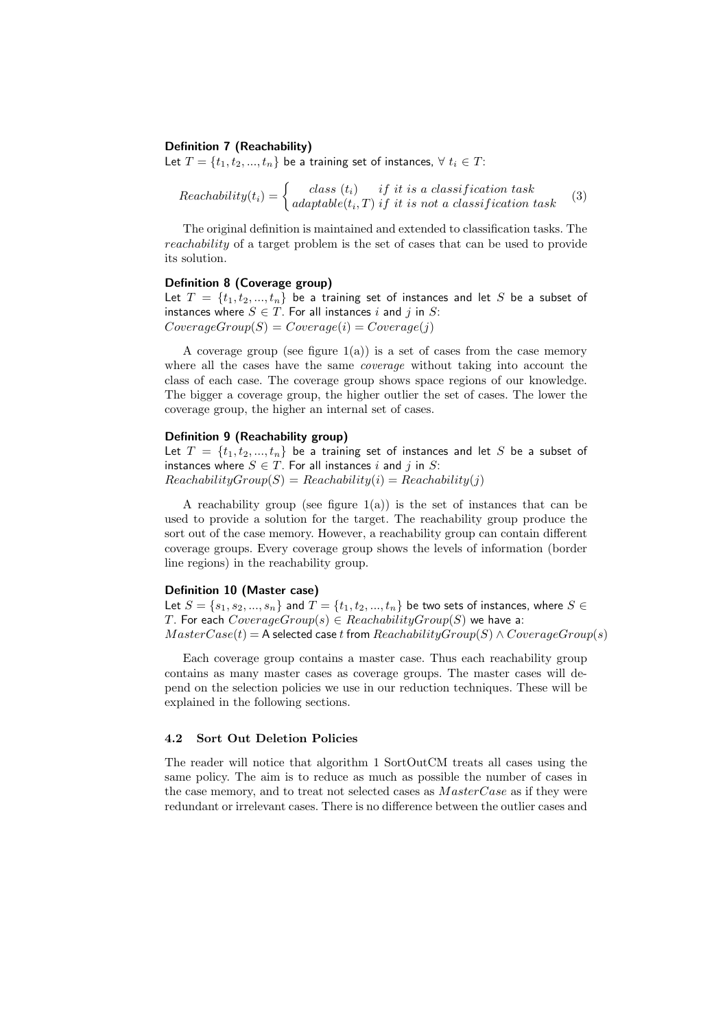#### Definition 7 (Reachability)

Let  $T = \{t_1, t_2, ..., t_n\}$  be a training set of instances,  $\forall t_i \in T$ :

$$
Reachability(t_i) = \begin{cases} class(t_i) & if it is a classification task \\ adaptable(t_i, T) if it is not a classification task \end{cases} (3)
$$

The original definition is maintained and extended to classification tasks. The reachability of a target problem is the set of cases that can be used to provide its solution.

## Definition 8 (Coverage group)

Let  $T = \{t_1, t_2, ..., t_n\}$  be a training set of instances and let S be a subset of instances where  $S \in T$ . For all instances i and j in S:  $CoverageGroup(S) = Coverage(i) = Coverage(j)$ 

A coverage group (see figure  $1(a)$ ) is a set of cases from the case memory where all the cases have the same *coverage* without taking into account the class of each case. The coverage group shows space regions of our knowledge. The bigger a coverage group, the higher outlier the set of cases. The lower the coverage group, the higher an internal set of cases.

# Definition 9 (Reachability group)

Let  $T = \{t_1, t_2, ..., t_n\}$  be a training set of instances and let S be a subset of instances where  $S \in T$ . For all instances i and j in S:  $ReachabilityGroup(S) =Reachability(i) =Reachability(j)$ 

A reachability group (see figure  $1(a)$ ) is the set of instances that can be used to provide a solution for the target. The reachability group produce the sort out of the case memory. However, a reachability group can contain different coverage groups. Every coverage group shows the levels of information (border line regions) in the reachability group.

## Definition 10 (Master case)

Let  $S = \{s_1, s_2, ..., s_n\}$  and  $T = \{t_1, t_2, ..., t_n\}$  be two sets of instances, where  $S \in$ T. For each  $CoverageGroup(s) \in ReachabilityGroup(S)$  we have a:  $MasterCase(t) =$  A selected case t from  $ReachabilityGroup(S) \wedge CoverageGroup(s)$ 

Each coverage group contains a master case. Thus each reachability group contains as many master cases as coverage groups. The master cases will depend on the selection policies we use in our reduction techniques. These will be explained in the following sections.

## 4.2 Sort Out Deletion Policies

The reader will notice that algorithm 1 SortOutCM treats all cases using the same policy. The aim is to reduce as much as possible the number of cases in the case memory, and to treat not selected cases as  $MasterCase$  as if they were redundant or irrelevant cases. There is no difference between the outlier cases and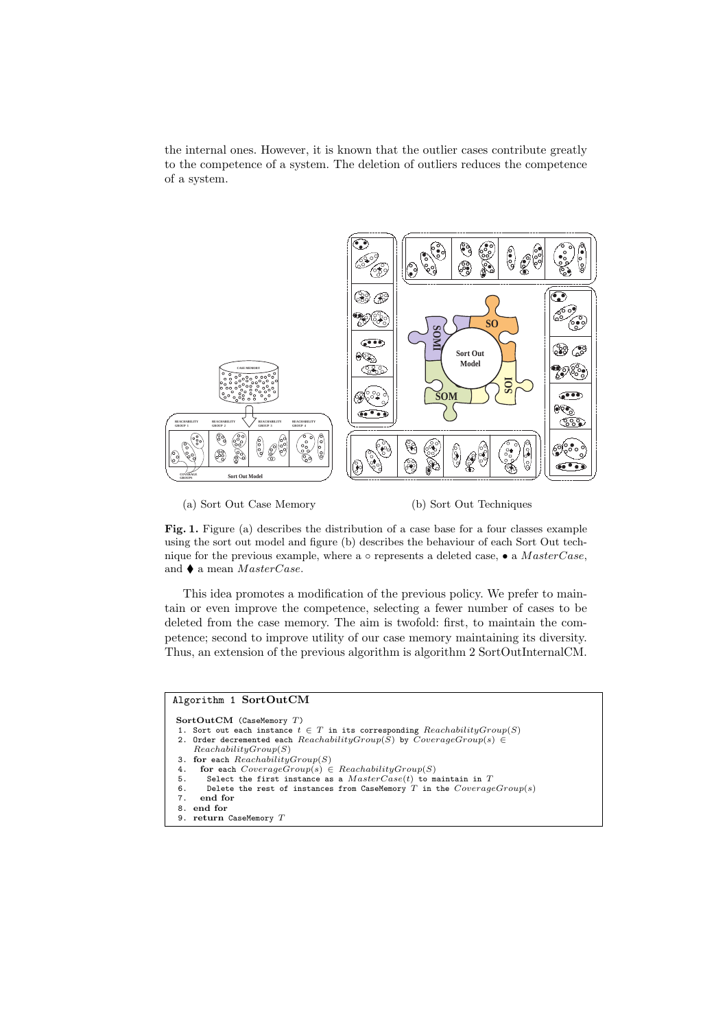the internal ones. However, it is known that the outlier cases contribute greatly to the competence of a system. The deletion of outliers reduces the competence of a system.



(a) Sort Out Case Memory

(b) Sort Out Techniques

Fig. 1. Figure (a) describes the distribution of a case base for a four classes example using the sort out model and figure (b) describes the behaviour of each Sort Out technique for the previous example, where a  $\circ$  represents a deleted case, • a MasterCase, and  $\blacklozenge$  a mean  $MasterCase.$ 

This idea promotes a modification of the previous policy. We prefer to maintain or even improve the competence, selecting a fewer number of cases to be deleted from the case memory. The aim is twofold: first, to maintain the competence; second to improve utility of our case memory maintaining its diversity. Thus, an extension of the previous algorithm is algorithm 2 SortOutInternalCM.

## Algorithm 1 SortOutCM

SortOutCM (CaseMemory T)

- 1. Sort out each instance  $t \in T$  in its corresponding  $ReachabilityGroup(S)$ <br>2. Order decremented each  $ReachabilityGroup(S)$  by  $CoverageGroup(s) \in$
- Order decremented each  $ReachabilityGroup(S)$  by  $CoverageGroup(s) \in$
- $ReachabilityGroup(S)$
- 3. for each  $ReachabilityGroup(S)$ <br>4. for each  $CoverageGroup(s)$
- 4. for each CoverageGroup(s)  $\in$  ReachabilityGroup(S)<br>5. Select the first instance as a MasterCase(t) to m
- 5. Select the first instance as a  $MasterCase(t)$  to maintain in T<br>6. Delete the rest of instances from CaseMemory T in the Coverage 6. Delete the rest of instances from CaseMemory  $T$  in the  $CoverageGroup(s)$ <br>7. end for
- 7. end for
- end for
- 9. return CaseMemory  $T$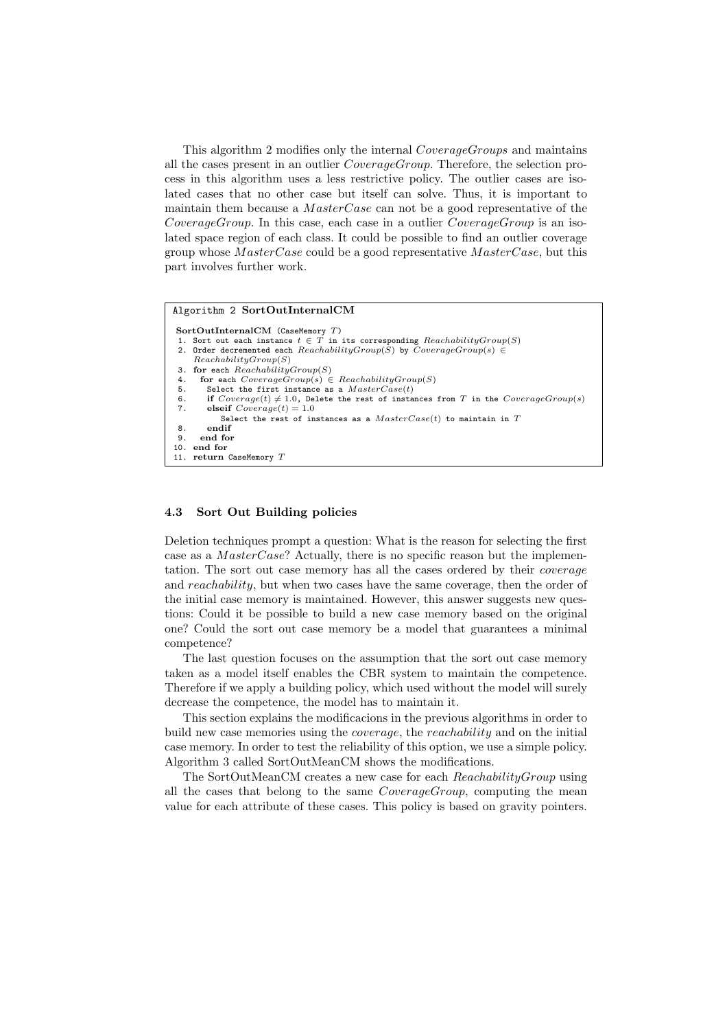This algorithm 2 modifies only the internal CoverageGroups and maintains all the cases present in an outlier CoverageGroup. Therefore, the selection process in this algorithm uses a less restrictive policy. The outlier cases are isolated cases that no other case but itself can solve. Thus, it is important to maintain them because a *M* asterCase can not be a good representative of the CoverageGroup. In this case, each case in a outlier CoverageGroup is an isolated space region of each class. It could be possible to find an outlier coverage group whose  $MasterCase$  could be a good representative  $MasterCase$ , but this part involves further work.

#### Algorithm 2 SortOutInternalCM SortOutInternalCM (CaseMemory T)<br>1. Sort out each instance  $t \in T$  in its corresponding  $ReachabilityGroup(S)$ 2. Order decremented each  $ReachabilityGroup(S)$  by  $CoverageGroup(s) \in$  $ReachabilityGroup(S)$ 3. for each  $ReachabilityGroup(S)$ <br>4 for each  $ConcreaseGroup(s)$ for each  $CoverageGroup(s) \in ReachabilityGroup(S)$ 5. Select the first instance as a  $MasterCase(t)$ 6. if  $Coverage(t) \neq 1.0$ , Delete the rest of instances from T in the  $CoverageGroup(s)$ <br>7. elseif  $Coverage(t) = 1.0$ Select the rest of instances as a  $MasterCase(t)$  to maintain in T 8. endif 9. end for end for 11. return CaseMemory T

## 4.3 Sort Out Building policies

Deletion techniques prompt a question: What is the reason for selecting the first case as a  $MasterCase$ ? Actually, there is no specific reason but the implementation. The sort out case memory has all the cases ordered by their coverage and *reachability*, but when two cases have the same coverage, then the order of the initial case memory is maintained. However, this answer suggests new questions: Could it be possible to build a new case memory based on the original one? Could the sort out case memory be a model that guarantees a minimal competence?

The last question focuses on the assumption that the sort out case memory taken as a model itself enables the CBR system to maintain the competence. Therefore if we apply a building policy, which used without the model will surely decrease the competence, the model has to maintain it.

This section explains the modificacions in the previous algorithms in order to build new case memories using the coverage, the reachability and on the initial case memory. In order to test the reliability of this option, we use a simple policy. Algorithm 3 called SortOutMeanCM shows the modifications.

The SortOutMeanCM creates a new case for each ReachabilityGroup using all the cases that belong to the same  $CoverageGroup$ , computing the mean value for each attribute of these cases. This policy is based on gravity pointers.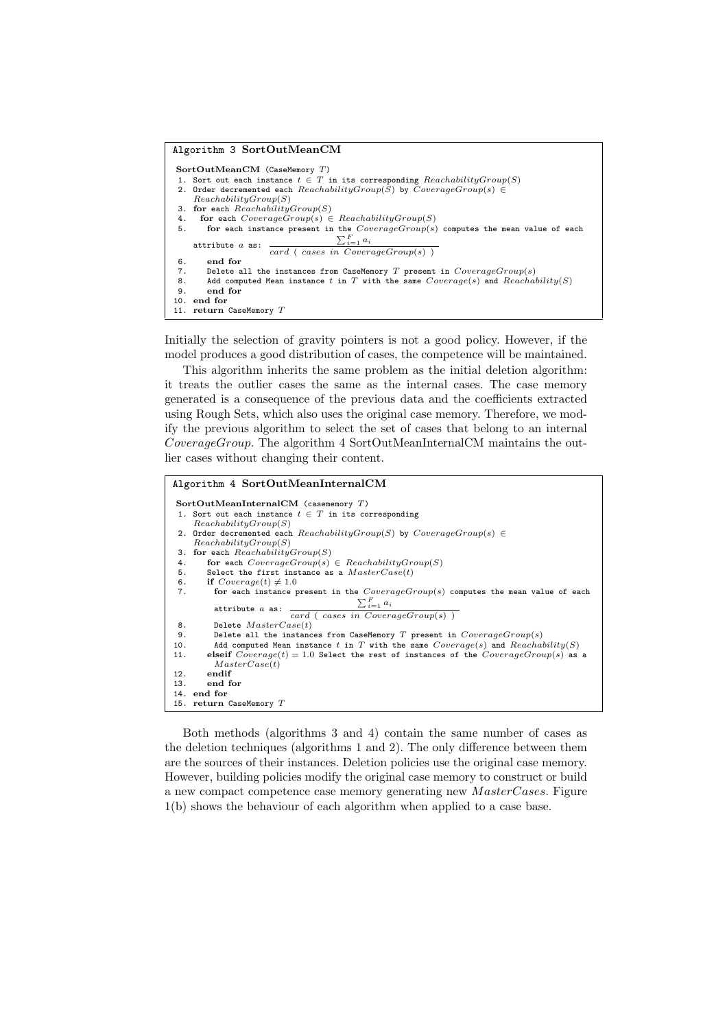```
Algorithm 3 SortOutMeanCM
 SortOutMeanCM (CaseMemory T)<br>1. Sort out each instance t \in T in its corresponding ReachabilityGroup(S)2. Order decremented each ReachabilityGroup(S) by CoverageGroup(s) \inReachabilityGroup(S)3. for each ReachabilityGroup(S)<br>4. for each CoverageGroup(s) \in4. for each Coverage\ddot{G}roup(s) \in ReachabilityGroup(S)<br>5. for each instance present in the ConcrecalFrom(s)5. for each instance present in the CoverageGroup(s) computes the mean value of each \sum_{i=1}^{F} a_iattribute a as:
                           card (cases in CoverageGroup(s))6. end for<br>7. Delete a
 7. Delete all the instances from CaseMemory T present in CoverageGroup(s)<br>8. Add computed Mean instance t in T with the same Coverace(s) and Reacha8. Add computed Mean instance t in T with the same Coverage(s) and Reachability(S)<br>9 and for
         end for
10. end for
11. return CaseMemory T
```
Initially the selection of gravity pointers is not a good policy. However, if the model produces a good distribution of cases, the competence will be maintained.

This algorithm inherits the same problem as the initial deletion algorithm: it treats the outlier cases the same as the internal cases. The case memory generated is a consequence of the previous data and the coefficients extracted using Rough Sets, which also uses the original case memory. Therefore, we modify the previous algorithm to select the set of cases that belong to an internal CoverageGroup. The algorithm 4 SortOutMeanInternalCM maintains the outlier cases without changing their content.

```
Algorithm 4 SortOutMeanInternalCM
 SortOutMeanInternalCM (casememory T) 1. Sort out each instance t \in T in its co
     Sort out each instance t \in T in its corresponding
      ReachabilityGroup(S)2. Order decremented each ReachabilityGroup(S) by CoverageGroup(s) \inReachabilityGroup(S)3. for each ReachabilityGroup(S)<br>4. for each CoverageGroup(s)4. for each CoverageGroup(s) \in ReachabilityGroup(S)<br>5. Select the first instance as a MasterCase(t)5. Select the first instance as a MasterCase(t)<br>6. if Coverage(t) \neq 1.06. if Coverage(t) \neq 1.0<br>7. for each instance p
            for each instance present in the CoverageGroup(s) computes the mean value of each
            attribute a as:
                                                       \sum_{i=1}^F a_icard ( cases in CoverageGroup(s) )
 8. Delete MasterCase(t)<br>9. Delete all the instance
9. Delete all the instances from CaseMemory T present in Coverage(s) and Reacha<br>10. Add computed Mean instance t in T with the same Coverage(s) and Reacha10. Add computed Mean instance t in T with the same Coverage(s) and Reachability(S)<br>11. elseif Coverage(t) = 1.0 Select the rest of instances of the Coverage(From(s)) as
          elseif Coverage(t) = 1.0 Select the rest of instances of the CoverageGroup(s) as a
            MasterCase(t)12. endif
13. end for
14. end for
     return CaseMemory T
```
Both methods (algorithms 3 and 4) contain the same number of cases as the deletion techniques (algorithms 1 and 2). The only difference between them are the sources of their instances. Deletion policies use the original case memory. However, building policies modify the original case memory to construct or build a new compact competence case memory generating new  $Master Cases$ . Figure 1(b) shows the behaviour of each algorithm when applied to a case base.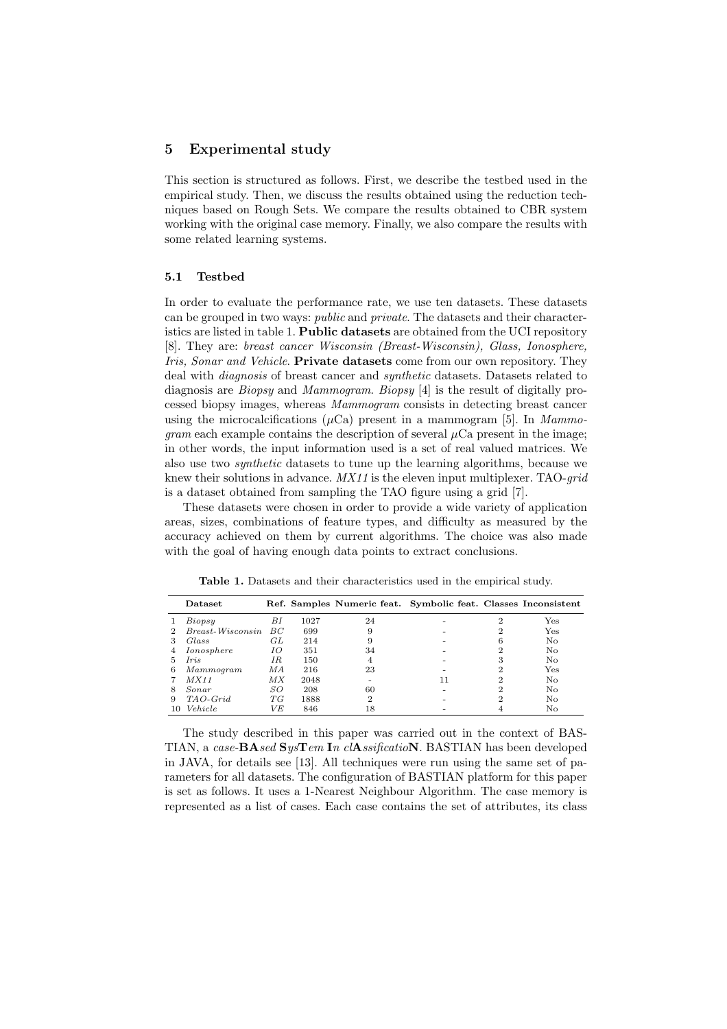## 5 Experimental study

This section is structured as follows. First, we describe the testbed used in the empirical study. Then, we discuss the results obtained using the reduction techniques based on Rough Sets. We compare the results obtained to CBR system working with the original case memory. Finally, we also compare the results with some related learning systems.

#### 5.1 Testbed

In order to evaluate the performance rate, we use ten datasets. These datasets can be grouped in two ways: public and private. The datasets and their characteristics are listed in table 1. Public datasets are obtained from the UCI repository [8]. They are: breast cancer Wisconsin (Breast-Wisconsin), Glass, Ionosphere, Iris, Sonar and Vehicle. Private datasets come from our own repository. They deal with *diagnosis* of breast cancer and *synthetic* datasets. Datasets related to diagnosis are Biopsy and Mammogram. Biopsy [4] is the result of digitally processed biopsy images, whereas Mammogram consists in detecting breast cancer using the microcalcifications ( $\mu$ Ca) present in a mammogram [5]. In Mammo*gram* each example contains the description of several  $\mu$ Ca present in the image; in other words, the input information used is a set of real valued matrices. We also use two synthetic datasets to tune up the learning algorithms, because we knew their solutions in advance.  $MX11$  is the eleven input multiplexer. TAO-grid is a dataset obtained from sampling the TAO figure using a grid [7].

These datasets were chosen in order to provide a wide variety of application areas, sizes, combinations of feature types, and difficulty as measured by the accuracy achieved on them by current algorithms. The choice was also made with the goal of having enough data points to extract conclusions.

|    | <b>Dataset</b>   |     |      |    | Ref. Samples Numeric feat. Symbolic feat. Classes Inconsistent |              |
|----|------------------|-----|------|----|----------------------------------------------------------------|--------------|
|    | Biopsy           | ВI  | 1027 | 24 |                                                                | $_{\rm Yes}$ |
|    | Breast-Wisconsin | ВC  | 699  | 9  |                                                                | $_{\rm Yes}$ |
|    | Glass            | GL  | 214  | 9  |                                                                | No           |
| 4  | Ionosphere       | IΟ  | 351  | 34 |                                                                | No           |
|    | <i>Iris</i>      | TR. | 150  |    |                                                                | No           |
| 6  | Mammogram        | МA  | 216  | 23 |                                                                | Yes          |
|    | MX11             | MX  | 2048 |    | 11                                                             | No           |
| 8  | Sonar            | SO  | 208  | 60 |                                                                | No           |
| 9  | $TAO$ - $Grid$   | ТG  | 1888 | 2  |                                                                | No           |
| 10 | Vehicle          | VE  | 846  | 18 |                                                                | No           |

Table 1. Datasets and their characteristics used in the empirical study.

The study described in this paper was carried out in the context of BAS-TIAN, a case- $\mathbf{B}\mathbf{A}$ sed  $\mathbf{S}$ ys $\mathbf{T}$ em In cl $\mathbf{A}$ ssification. BASTIAN has been developed in JAVA, for details see [13]. All techniques were run using the same set of parameters for all datasets. The configuration of BASTIAN platform for this paper is set as follows. It uses a 1-Nearest Neighbour Algorithm. The case memory is represented as a list of cases. Each case contains the set of attributes, its class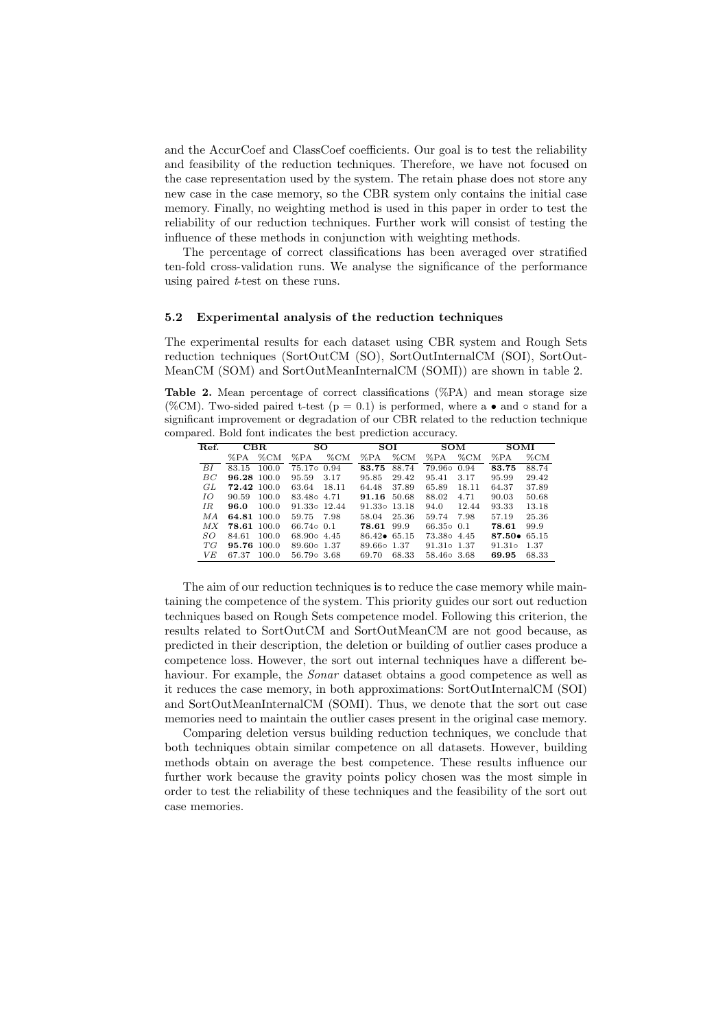and the AccurCoef and ClassCoef coefficients. Our goal is to test the reliability and feasibility of the reduction techniques. Therefore, we have not focused on the case representation used by the system. The retain phase does not store any new case in the case memory, so the CBR system only contains the initial case memory. Finally, no weighting method is used in this paper in order to test the reliability of our reduction techniques. Further work will consist of testing the influence of these methods in conjunction with weighting methods.

The percentage of correct classifications has been averaged over stratified ten-fold cross-validation runs. We analyse the significance of the performance using paired t-test on these runs.

#### 5.2 Experimental analysis of the reduction techniques

The experimental results for each dataset using CBR system and Rough Sets reduction techniques (SortOutCM (SO), SortOutInternalCM (SOI), SortOut-MeanCM (SOM) and SortOutMeanInternalCM (SOMI)) are shown in table 2.

Table 2. Mean percentage of correct classifications (%PA) and mean storage size (%CM). Two-sided paired t-test ( $p = 0.1$ ) is performed, where a • and  $\circ$  stand for a significant improvement or degradation of our CBR related to the reduction technique compared. Bold font indicates the best prediction accuracy.

| Ref. | CBR         |                | SO.                |        |                       | <b>SOI</b> |             | SOM    |                    | <b>SOMI</b> |
|------|-------------|----------------|--------------------|--------|-----------------------|------------|-------------|--------|--------------------|-------------|
|      | %PA         | $\% \text{CM}$ | %PA                | $\%CM$ | $\%PA$                | $\%CM$     | %PA         | $\%CM$ | $\%PA$             | $\%CM$      |
| BI   | 83.15 100.0 |                | 75.17 $\circ$ 0.94 |        | 83.75                 | 88.74      | 79.960 0.94 |        | 83.75              | 88.74       |
| ВC   | 96.28 100.0 |                | 95.59              | 3.17   | 95.85                 | 29.42      | 95.41       | 3.17   | 95.99              | 29.42       |
| GL.  | 72.42 100.0 |                | 63.64              | 18.11  | 64.48                 | 37.89      | 65.89       | 18.11  | 64.37              | 37.89       |
| IO   | 90.59       | 100.0          | 83.480 4.71        |        | 91.16                 | 50.68      | 88.02       | 4.71   | 90.03              | 50.68       |
| IR   | 96.0        | 100.0          | 91.330 12.44       |        | 91.330 13.18          |            | 94.0        | 12.44  | 93.33              | 13.18       |
| M A  | 64.81 100.0 |                | 59.75              | 7.98   | 58.04                 | 25.36      | 59.74       | 7.98   | 57.19              | 25.36       |
| МX   | 78.61 100.0 |                | 66.740 0.1         |        | 78.61                 | 99.9       | 66.350 0.1  |        | 78.61              | 99.9        |
| SO   | 84.61       | 100.0          | 68.900 4.45        |        | $86.42 \bullet 65.15$ |            | 73.380 4.45 |        | $87.50\bullet$     | 65.15       |
| ТG   | 95.76 100.0 |                | 89.600 1.37        |        | 89.660 1.37           |            | 91.310 1.37 |        | 91.31 <sub>o</sub> | 1.37        |
| VE.  | 67.37       | 100.0          | 56.790 3.68        |        | 69.70                 | 68.33      | 58.460 3.68 |        | 69.95              | 68.33       |

The aim of our reduction techniques is to reduce the case memory while maintaining the competence of the system. This priority guides our sort out reduction techniques based on Rough Sets competence model. Following this criterion, the results related to SortOutCM and SortOutMeanCM are not good because, as predicted in their description, the deletion or building of outlier cases produce a competence loss. However, the sort out internal techniques have a different behaviour. For example, the *Sonar* dataset obtains a good competence as well as it reduces the case memory, in both approximations: SortOutInternalCM (SOI) and SortOutMeanInternalCM (SOMI). Thus, we denote that the sort out case memories need to maintain the outlier cases present in the original case memory.

Comparing deletion versus building reduction techniques, we conclude that both techniques obtain similar competence on all datasets. However, building methods obtain on average the best competence. These results influence our further work because the gravity points policy chosen was the most simple in order to test the reliability of these techniques and the feasibility of the sort out case memories.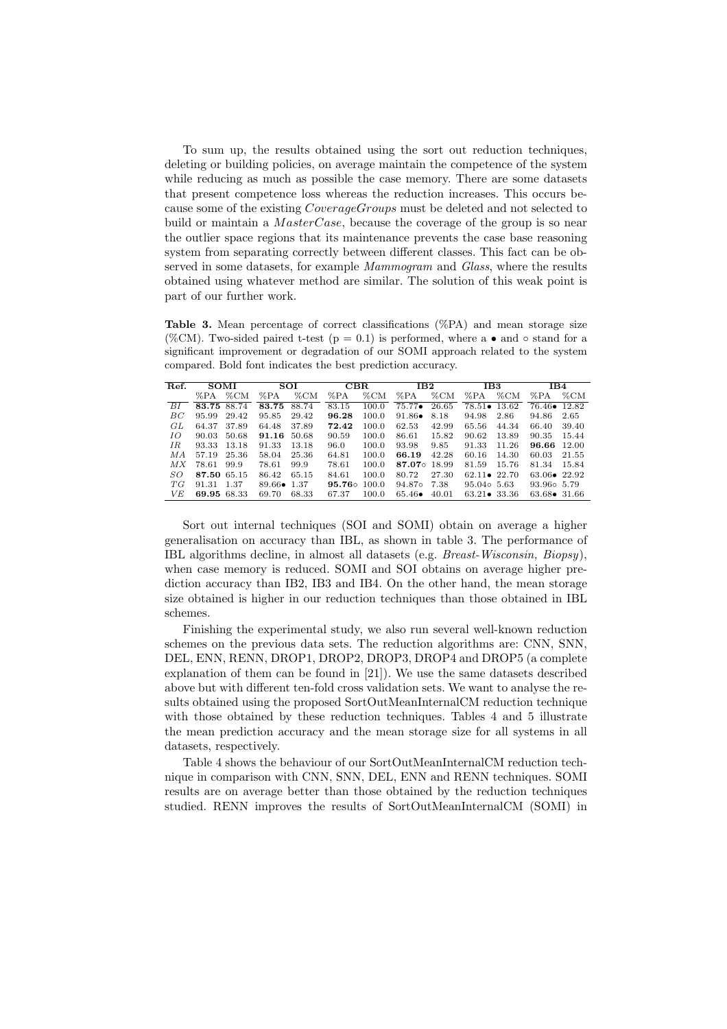To sum up, the results obtained using the sort out reduction techniques, deleting or building policies, on average maintain the competence of the system while reducing as much as possible the case memory. There are some datasets that present competence loss whereas the reduction increases. This occurs because some of the existing *CoverageGroups* must be deleted and not selected to build or maintain a  $MasterCase$ , because the coverage of the group is so near the outlier space regions that its maintenance prevents the case base reasoning system from separating correctly between different classes. This fact can be observed in some datasets, for example *Mammogram* and *Glass*, where the results obtained using whatever method are similar. The solution of this weak point is part of our further work.

Table 3. Mean percentage of correct classifications (%PA) and mean storage size (%CM). Two-sided paired t-test ( $p = 0.1$ ) is performed, where a • and  $\circ$  stand for a significant improvement or degradation of our SOMI approach related to the system compared. Bold font indicates the best prediction accuracy.

| Ref. | <b>SOMI</b> |        |                 | SOI    | $_{\rm CBR}$ |        | IB2            |        | IB <sub>3</sub>       |        | IB4                   |                |
|------|-------------|--------|-----------------|--------|--------------|--------|----------------|--------|-----------------------|--------|-----------------------|----------------|
|      | $\%PA$      | $\%CM$ | $\%PA$          | $\%CM$ | %PA          | $\%CM$ | $\%PA$         | $\%CM$ | %PA                   | $\%CM$ | %PA                   | $\% \text{CM}$ |
| BI   | 83.75 88.74 |        | 83.75           | 88.74  | 83.15        | 100.0  | $75.77\bullet$ | 26.65  | $78.51\bullet$        | 13.62  | $76.46 \bullet 12.82$ |                |
| ВC   | 95.99       | 29.42  | 95.85           | 29.42  | 96.28        | 100.0  | $91.86\bullet$ | 8.18   | 94.98                 | 2.86   | 94.86                 | 2.65           |
| GL.  | 64.37       | 37.89  | 64.48           | 37.89  | 72.42        | 100.0  | 62.53          | 42.99  | 65.56                 | 44.34  | 66.40                 | 39.40          |
| IО   | 90.03       | 50.68  | 91.16           | 50.68  | 90.59        | 100.0  | 86.61          | 15.82  | 90.62                 | 13.89  | 90.35                 | 15.44          |
| IR   | 93.33       | 13.18  | 91.33           | 13.18  | 96.0         | 100.0  | 93.98          | 9.85   | 91.33                 | 11.26  | 96.66                 | 12.00          |
| MA   | 57.19       | 25.36  | 58.04           | 25.36  | 64.81        | 100.0  | 66.19          | 42.28  | 60.16                 | 14.30  | 60.03                 | 21.55          |
| МX   | 78.61       | 99.9   | 78.61           | 99.9   | 78.61        | 100.0  | 87.07 0 18.99  |        | 81.59                 | 15.76  | 81.34                 | 15.84          |
| SO.  | 87.50 65.15 |        | 86.42           | 65.15  | 84.61        | 100.0  | 80.72          | 27.30  | $62.11 \bullet 22.70$ |        | $63.06 \bullet 22.92$ |                |
| ТG   | 91.31       | 1.37   | $89.66 \bullet$ | 1.37   | $95.76\circ$ | 100.0  | 94.870         | 7.38   | $95.040\ 5.63$        |        | 93.960                | 5.79           |
| VE   | 69.95 68.33 |        | 69.70           | 68.33  | 67.37        | 100.0  | $65.46\bullet$ | 40.01  | $63.21 \bullet 33.36$ |        | $63.68 \bullet 31.66$ |                |

Sort out internal techniques (SOI and SOMI) obtain on average a higher generalisation on accuracy than IBL, as shown in table 3. The performance of IBL algorithms decline, in almost all datasets (e.g. Breast-Wisconsin, Biopsy), when case memory is reduced. SOMI and SOI obtains on average higher prediction accuracy than IB2, IB3 and IB4. On the other hand, the mean storage size obtained is higher in our reduction techniques than those obtained in IBL schemes.

Finishing the experimental study, we also run several well-known reduction schemes on the previous data sets. The reduction algorithms are: CNN, SNN, DEL, ENN, RENN, DROP1, DROP2, DROP3, DROP4 and DROP5 (a complete explanation of them can be found in [21]). We use the same datasets described above but with different ten-fold cross validation sets. We want to analyse the results obtained using the proposed SortOutMeanInternalCM reduction technique with those obtained by these reduction techniques. Tables 4 and 5 illustrate the mean prediction accuracy and the mean storage size for all systems in all datasets, respectively.

Table 4 shows the behaviour of our SortOutMeanInternalCM reduction technique in comparison with CNN, SNN, DEL, ENN and RENN techniques. SOMI results are on average better than those obtained by the reduction techniques studied. RENN improves the results of SortOutMeanInternalCM (SOMI) in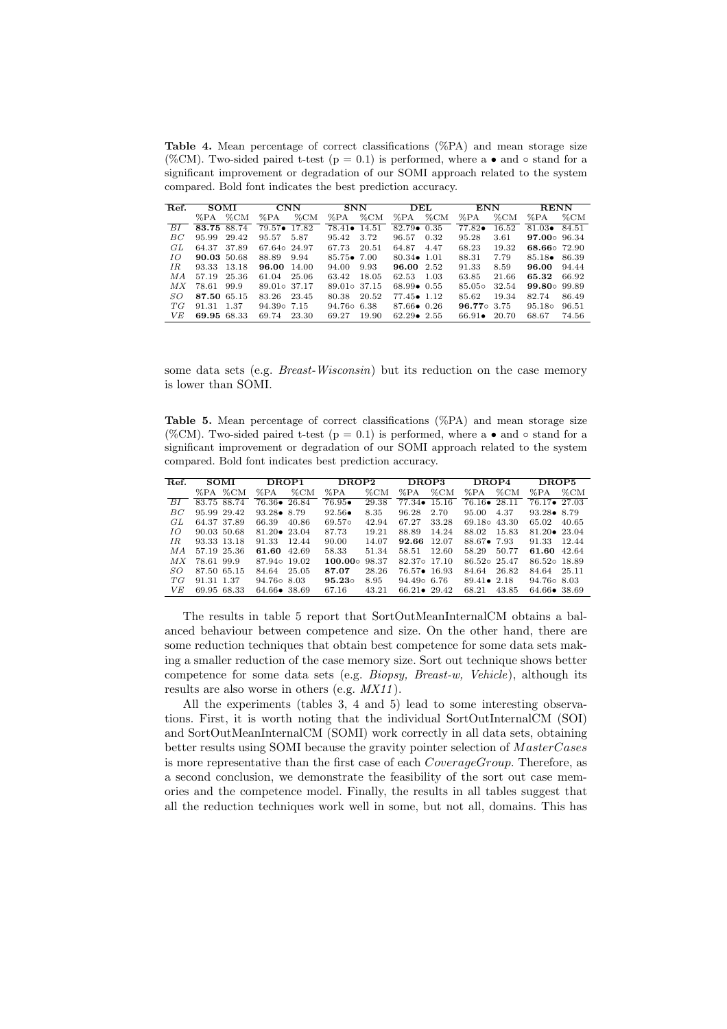Table 4. Mean percentage of correct classifications (%PA) and mean storage size (%CM). Two-sided paired t-test ( $p = 0.1$ ) is performed, where a • and  $\circ$  stand for a significant improvement or degradation of our SOMI approach related to the system compared. Bold font indicates the best prediction accuracy.

| Ref. | SOMI        |         | $\mathbf{CNN}$ |        |                      | <b>SNN</b> |                      | DEL    |                 | <b>ENN</b> |                     | <b>RENN</b>    |  |
|------|-------------|---------|----------------|--------|----------------------|------------|----------------------|--------|-----------------|------------|---------------------|----------------|--|
|      | %PA         | $\%$ CM | $\%PA$         | $\%CM$ | $\%PA$               | $\%$ CM    | %PA                  | $\%CM$ | %PA             | $\%CM$     | %PA                 | $\% \text{CM}$ |  |
| BI   | 83.75       | 88.74   | 79.57• 17.82   |        | 78.41• 14.51         |            | $82.79\bullet$       | 0.35   | $77.82 \bullet$ | 16.52      | $81.03\bullet$      | 84.51          |  |
| ВC   | 95.99       | 29.42   | 95.57          | 5.87   | 95.42                | 3.72       | 96.57                | 0.32   | 95.28           | 3.61       | $97.00 \circ 96.34$ |                |  |
| GL.  | 64.37       | 37.89   | 67.640 24.97   |        | 67.73                | 20.51      | 64.87                | 4.47   | 68.23           | 19.32      | 68.66 72.90         |                |  |
| IO   | 90.03       | 50.68   | 88.89          | 9.94   | $85.75 \bullet 7.00$ |            | $80.34\bullet$       | 1.01   | 88.31           | 7.79       | $85.18\bullet$      | 86.39          |  |
| IR   | 93.33       | 13.18   | 96.00          | 14.00  | 94.00                | 9.93       | 96.00                | 2.52   | 91.33           | 8.59       | 96.00               | 94.44          |  |
| МA   | 57.19       | 25.36   | 61.04          | 25.06  | 63.42                | 18.05      | 62.53                | 1.03   | 63.85           | 21.66      | 65.32               | 66.92          |  |
| МX   | 78.61       | 99.9    | 89.01 0.37.17  |        | 89.010 37.15         |            | $68.99 \bullet 0.55$ |        | 85.050          | 32.54      | $99.80\circ$        | 99.89          |  |
| SO.  | 87.50 65.15 |         | 83.26          | 23.45  | 80.38                | 20.52      | $77.45 \bullet 1.12$ |        | 85.62           | 19.34      | 82.74               | 86.49          |  |
| ТG   | 91.31       | 1.37    | 94.390 7.15    |        | 94.7606.38           |            | $87.66 \bullet 0.26$ |        | 96.770          | 3.75       | 95.180              | 96.51          |  |
| VE   | 69.95 68.33 |         | 69.74          | 23.30  | 69.27                | 19.90      | $62.29 \bullet 2.55$ |        | $66.91 \bullet$ | 20.70      | 68.67               | 74.56          |  |

some data sets (e.g. *Breast-Wisconsin*) but its reduction on the case memory is lower than SOMI.

Table 5. Mean percentage of correct classifications (%PA) and mean storage size (%CM). Two-sided paired t-test ( $p = 0.1$ ) is performed, where a • and  $\circ$  stand for a significant improvement or degradation of our SOMI approach related to the system compared. Bold font indicates best prediction accuracy.

| Ref. | <b>SOMI</b> | DROP1                    | DROP2                   | DROP3                    | DROP4                 | DROP5                 |  |
|------|-------------|--------------------------|-------------------------|--------------------------|-----------------------|-----------------------|--|
|      | %PA %CM     | $\% \text{CM}$<br>$\%PA$ | %PA<br>$\%$ CM          | $\%PA$<br>$\% \text{CM}$ | $\%CM$<br>%PA         | $\%PA$<br>$\%$ CM     |  |
| BI   | 83.75 88.74 | $76.36\bullet$<br>26.84  | $76.95\bullet$<br>29.38 | $77.34 \bullet 15.16$    | $76.16 \bullet 28.11$ | $76.17 \bullet 27.03$ |  |
| ВC   | 95.99 29.42 | 8.79<br>$93.28 \bullet$  | $92.56\bullet$<br>8.35  | 96.28<br>2.70            | 4.37<br>95.00         | $93.28 \bullet 8.79$  |  |
| GL.  | 64.37 37.89 | 66.39<br>40.86           | 69.570<br>42.94         | 67.27<br>33.28           | 69.180 43.30          | 40.65<br>65.02        |  |
| IO   | 90.03 50.68 | $81.20 \bullet 23.04$    | 87.73<br>19.21          | 88.89<br>14.24           | 15.83<br>88.02        | $81.20 \bullet 23.04$ |  |
| TR.  | 93.33 13.18 | 12.44<br>91.33           | 90.00<br>14.07          | 12.07<br>92.66           | 88.67• 7.93           | 91.33<br>12.44        |  |
| МA   | 57.19 25.36 | 42.69<br>61.60           | 58.33<br>51.34          | 12.60<br>58.51           | 58.29<br>50.77        | 42.64<br>61.60        |  |
| МX   | 78.61 99.9  | 87.940 19.02             | 98.37<br>$100.00\circ$  | 82.370 17.10             | 86.520 25.47          | 86.520 18.89          |  |
| SO.  | 87.50 65.15 | 25.05<br>84.64           | 28.26<br>87.07          | $76.57 \bullet 16.93$    | 26.82<br>84.64        | 25.11<br>84.64        |  |
| ТG   | 91.31 1.37  | 94.7608.03               | 95.230<br>8.95          | $94.490\;6.76$           | $89.41 \bullet 2.18$  | $94.760$ $8.03$       |  |
| VE   | 69.95 68.33 | $64.66 \bullet 38.69$    | 67.16<br>43.21          | $66.21 \bullet 29.42$    | 68.21<br>43.85        | $64.66 \bullet 38.69$ |  |

The results in table 5 report that SortOutMeanInternalCM obtains a balanced behaviour between competence and size. On the other hand, there are some reduction techniques that obtain best competence for some data sets making a smaller reduction of the case memory size. Sort out technique shows better competence for some data sets (e.g.  $Biopsy$ ,  $Break-w$ , Vehicle), although its results are also worse in others (e.g.  $MX11$ ).

All the experiments (tables 3, 4 and 5) lead to some interesting observations. First, it is worth noting that the individual SortOutInternalCM (SOI) and SortOutMeanInternalCM (SOMI) work correctly in all data sets, obtaining better results using SOMI because the gravity pointer selection of  $Master Cases$ is more representative than the first case of each CoverageGroup. Therefore, as a second conclusion, we demonstrate the feasibility of the sort out case memories and the competence model. Finally, the results in all tables suggest that all the reduction techniques work well in some, but not all, domains. This has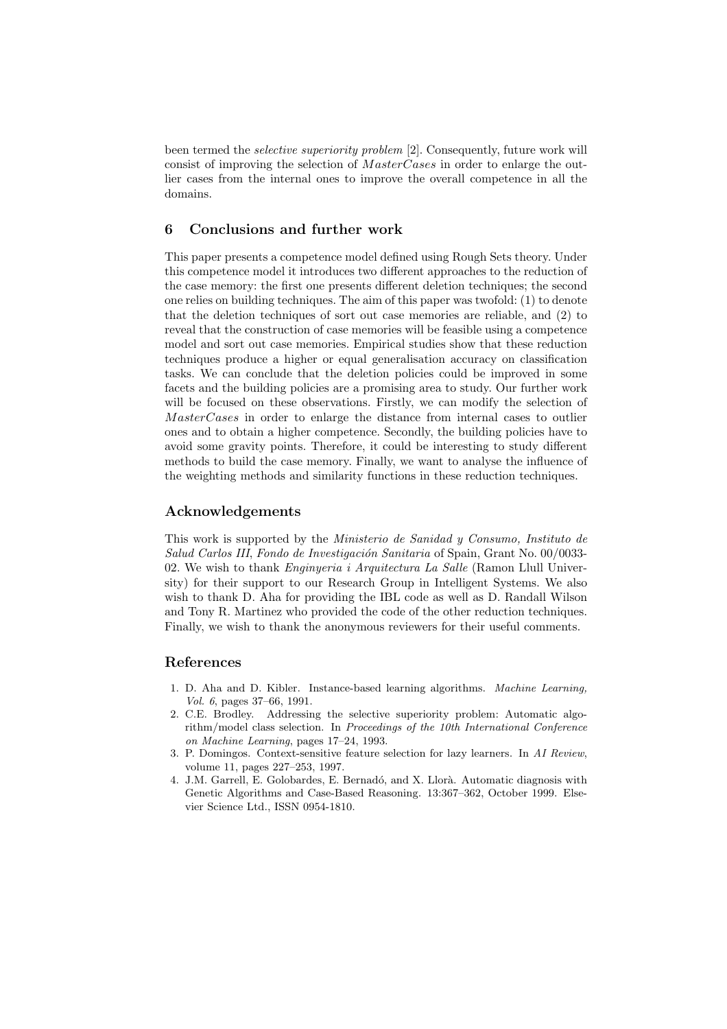been termed the selective superiority problem [2]. Consequently, future work will consist of improving the selection of  $Master Cases$  in order to enlarge the outlier cases from the internal ones to improve the overall competence in all the domains.

# 6 Conclusions and further work

This paper presents a competence model defined using Rough Sets theory. Under this competence model it introduces two different approaches to the reduction of the case memory: the first one presents different deletion techniques; the second one relies on building techniques. The aim of this paper was twofold: (1) to denote that the deletion techniques of sort out case memories are reliable, and (2) to reveal that the construction of case memories will be feasible using a competence model and sort out case memories. Empirical studies show that these reduction techniques produce a higher or equal generalisation accuracy on classification tasks. We can conclude that the deletion policies could be improved in some facets and the building policies are a promising area to study. Our further work will be focused on these observations. Firstly, we can modify the selection of MasterCases in order to enlarge the distance from internal cases to outlier ones and to obtain a higher competence. Secondly, the building policies have to avoid some gravity points. Therefore, it could be interesting to study different methods to build the case memory. Finally, we want to analyse the influence of the weighting methods and similarity functions in these reduction techniques.

# Acknowledgements

This work is supported by the Ministerio de Sanidad y Consumo, Instituto de Salud Carlos III, Fondo de Investigación Sanitaria of Spain, Grant No. 00/0033-02. We wish to thank *Enginyeria i Arquitectura La Salle* (Ramon Llull University) for their support to our Research Group in Intelligent Systems. We also wish to thank D. Aha for providing the IBL code as well as D. Randall Wilson and Tony R. Martinez who provided the code of the other reduction techniques. Finally, we wish to thank the anonymous reviewers for their useful comments.

# References

- 1. D. Aha and D. Kibler. Instance-based learning algorithms. Machine Learning, Vol. 6, pages 37–66, 1991.
- 2. C.E. Brodley. Addressing the selective superiority problem: Automatic algorithm/model class selection. In Proceedings of the 10th International Conference on Machine Learning, pages 17–24, 1993.
- 3. P. Domingos. Context-sensitive feature selection for lazy learners. In AI Review, volume 11, pages 227–253, 1997.
- 4. J.M. Garrell, E. Golobardes, E. Bernadó, and X. Llorà. Automatic diagnosis with Genetic Algorithms and Case-Based Reasoning. 13:367–362, October 1999. Elsevier Science Ltd., ISSN 0954-1810.